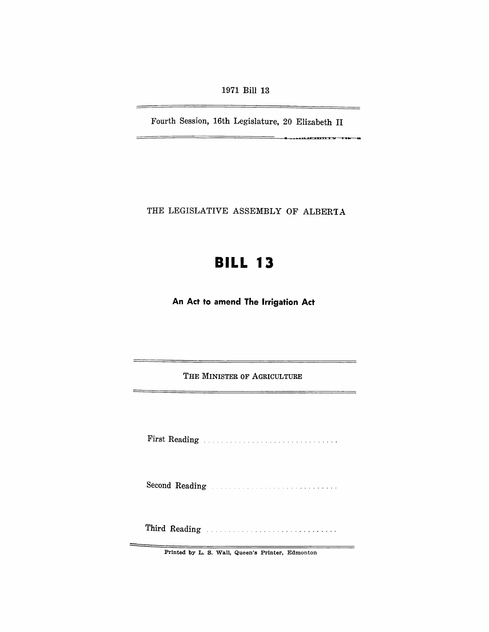1971 Bill 13

Fourth Session, 16th Legislature, 20 Elizabeth II

 $\equiv$ 

<u> Terry and the Community of the Community of the Community of the Community of the Community of the Community of the Community of the Community of the Community of the Community of the Community of the Community of the Co</u>

THE LEGISLATIVE ASSEMBLY OF ALBERTA

# **BILL 13**

An Act to amend The Irrigation Act

THE MINISTER OF AGRICULTURE

First Reading . .

Second Reading

Third Reading

Printed by L. S. Wall, Queen's Printer, Edmonton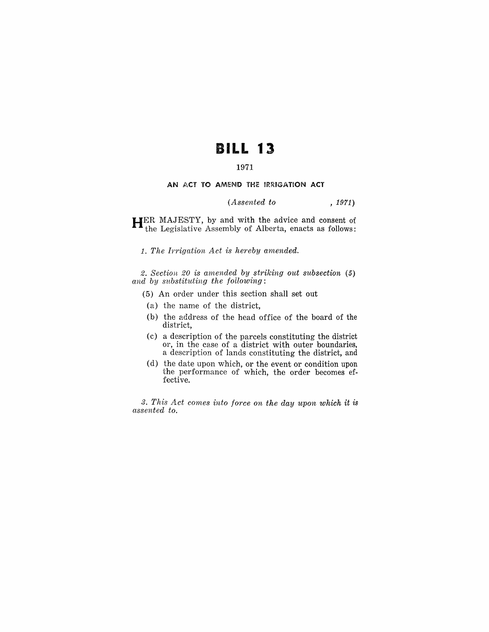## **BILL 13**

### 1971

#### AN ACT TO AMEND THE IRRIGATION ACT

#### *(Assented to* , 1971)

HER MAJESTY, by and with the advice and consent of the Legislative Assembly of Alberta, enacts as follows:

1. The Irrigation Act is hereby amended.

*2. Section* 20 *is amended by striking out subsection (5) and by substituting the following:* 

(5) An order under this section shall set out

- (a) the name of the district,
- (b) the address of the head office of the board of the district,
- (c) a description of the parcels constituting the district or, in the case of a district with outer boundaries, a description of lands constituting the district, and
- (d) the date upon which, or the event or condition upon the performance of which, the order becomes effective.

*3. This Act comes into force on the day upon which it is assented to.*